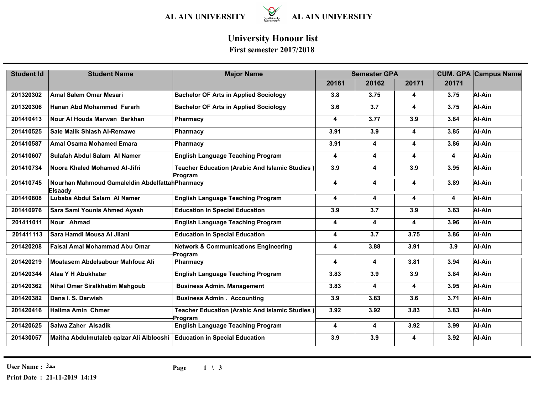

# **University Honour list**

| <b>Student Id</b> | <b>Student Name</b>                                                     | <b>Major Name</b>                                          | <b>Semester GPA</b>     |       |                         |       | <b>CUM. GPA Campus Name</b> |
|-------------------|-------------------------------------------------------------------------|------------------------------------------------------------|-------------------------|-------|-------------------------|-------|-----------------------------|
|                   |                                                                         |                                                            | 20161                   | 20162 | 20171                   | 20171 |                             |
| 201320302         | <b>Amal Salem Omar Mesari</b>                                           | <b>Bachelor OF Arts in Applied Sociology</b>               | 3.8                     | 3.75  | $\overline{\mathbf{4}}$ | 3.75  | Al-Ain                      |
| 201320306         | Hanan Abd Mohammed Fararh                                               | <b>Bachelor OF Arts in Applied Sociology</b>               | 3.6                     | 3.7   | 4                       | 3.75  | Al-Ain                      |
| 201410413         | Nour Al Houda Marwan Barkhan                                            | Pharmacy                                                   | 4                       | 3.77  | 3.9                     | 3.84  | Al-Ain                      |
| 201410525         | <b>Sale Malik Shlash Al-Remawe</b>                                      | <b>Pharmacy</b>                                            | 3.91                    | 3.9   | 4                       | 3.85  | Al-Ain                      |
| 201410587         | <b>Amal Osama Mohamed Emara</b>                                         | Pharmacy                                                   | 3.91                    | 4     | 4                       | 3.86  | Al-Ain                      |
| 201410607         | Sulafah Abdul Salam Al Namer                                            | <b>English Language Teaching Program</b>                   | 4                       | 4     | 4                       | 4     | Al-Ain                      |
| 201410734         | Noora Khaled Mohamed Al-Jifri                                           | Teacher Education (Arabic And Islamic Studies)<br>Program  | 3.9                     | 4     | 3.9                     | 3.95  | Al-Ain                      |
| 201410745         | Nourhan Mahmoud Gamaleldin Abdelfattah Pharmacy<br>Elsaady              |                                                            | 4                       | 4     | 4                       | 3.89  | Al-Ain                      |
| 201410808         | Lubaba Abdul Salam Al Namer                                             | <b>English Language Teaching Program</b>                   | 4                       | 4     | 4                       | 4     | Al-Ain                      |
| 201410976         | Sara Sami Younis Ahmed Ayash                                            | <b>Education in Special Education</b>                      | 3.9                     | 3.7   | 3.9                     | 3.63  | Al-Ain                      |
| 201411011         | Nour Ahmad                                                              | <b>English Language Teaching Program</b>                   | 4                       | 4     | 4                       | 3.96  | Al-Ain                      |
| 201411113         | Sara Hamdi Mousa Al Jilani                                              | <b>Education in Special Education</b>                      | $\overline{\mathbf{4}}$ | 3.7   | 3.75                    | 3.86  | Al-Ain                      |
| 201420208         | <b>Faisal Amal Mohammad Abu Omar</b>                                    | <b>Network &amp; Communications Engineering</b><br>Program | 4                       | 3.88  | 3.91                    | 3.9   | Al-Ain                      |
| 201420219         | Moatasem Abdelsabour Mahfouz Ali                                        | <b>Pharmacy</b>                                            | $\overline{\mathbf{4}}$ | 4     | 3.81                    | 3.94  | Al-Ain                      |
| 201420344         | Alaa Y H Abukhater                                                      | <b>English Language Teaching Program</b>                   | 3.83                    | 3.9   | 3.9                     | 3.84  | Al-Ain                      |
| 201420362         | <b>Nihal Omer Siralkhatim Mahgoub</b>                                   | <b>Business Admin. Management</b>                          | 3.83                    | 4     | 4                       | 3.95  | Al-Ain                      |
| 201420382         | Dana I. S. Darwish                                                      | <b>Business Admin . Accounting</b>                         | 3.9                     | 3.83  | 3.6                     | 3.71  | Al-Ain                      |
| 201420416         | <b>Halima Amin Chmer</b>                                                | Teacher Education (Arabic And Islamic Studies)<br>Program  | 3.92                    | 3.92  | 3.83                    | 3.83  | Al-Ain                      |
| 201420625         | Salwa Zaher Alsadik                                                     | <b>English Language Teaching Program</b>                   | 4                       | 4     | 3.92                    | 3.99  | Al-Ain                      |
| 201430057         | Maitha Abdulmutaleb qalzar Ali Alblooshi Education in Special Education |                                                            | 3.9                     | 3.9   | 4                       | 3.92  | Al-Ain                      |

**User Name : معاذ**

**Print Date : 21-11-2019 14:19**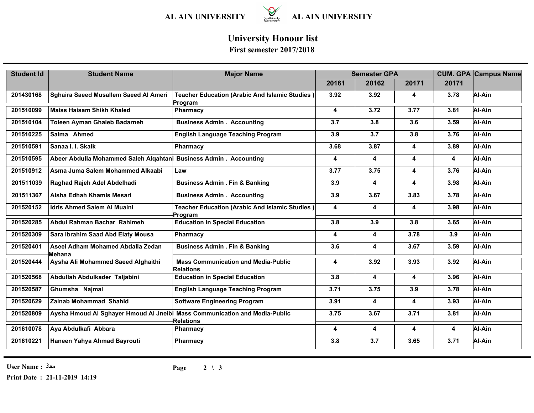

## **University Honour list**

#### **First semester 2017/2018**

| <b>Student Id</b> | <b>Student Name</b>                                              | <b>Major Name</b>                                                | <b>Semester GPA</b> |       |       |       | <b>CUM. GPA Campus Name</b> |
|-------------------|------------------------------------------------------------------|------------------------------------------------------------------|---------------------|-------|-------|-------|-----------------------------|
|                   |                                                                  |                                                                  | 20161               | 20162 | 20171 | 20171 |                             |
| 201430168         | Sghaira Saeed Musallem Saeed Al Ameri                            | <b>Teacher Education (Arabic And Islamic Studies)</b><br>Program | 3.92                | 3.92  | 4     | 3.78  | Al-Ain                      |
| 201510099         | <b>Maiss Haisam Shikh Khaled</b>                                 | Pharmacy                                                         | 4                   | 3.72  | 3.77  | 3.81  | Al-Ain                      |
| 201510104         | Toleen Ayman Ghaleb Badarneh                                     | <b>Business Admin . Accounting</b>                               | 3.7                 | 3.8   | 3.6   | 3.59  | Al-Ain                      |
| 201510225         | Salma Ahmed                                                      | <b>English Language Teaching Program</b>                         | 3.9                 | 3.7   | 3.8   | 3.76  | Al-Ain                      |
| 201510591         | Sanaa I. I. Skaik                                                | Pharmacy                                                         | 3.68                | 3.87  | 4     | 3.89  | Al-Ain                      |
| 201510595         | Abeer Abdulla Mohammed Saleh Alqahtan Business Admin. Accounting |                                                                  | 4                   | 4     | 4     | 4     | Al-Ain                      |
| 201510912         | Asma Juma Salem Mohammed Alkaabi                                 | Law                                                              | 3.77                | 3.75  | 4     | 3.76  | Al-Ain                      |
| 201511039         | Raghad Rajeh Adel Abdelhadi                                      | <b>Business Admin . Fin &amp; Banking</b>                        | 3.9                 | 4     | 4     | 3.98  | Al-Ain                      |
| 201511367         | Aisha Edhah Khamis Mesari                                        | <b>Business Admin . Accounting</b>                               | 3.9                 | 3.67  | 3.83  | 3.78  | Al-Ain                      |
| 201520152         | <b>Idris Ahmed Salem AI Muaini</b>                               | Teacher Education (Arabic And Islamic Studies)<br>Program        | 4                   | 4     | 4     | 3.98  | Al-Ain                      |
| 201520285         | Abdul Rahman Bachar Rahimeh                                      | <b>Education in Special Education</b>                            | 3.8                 | 3.9   | 3.8   | 3.65  | Al-Ain                      |
| 201520309         | Sara Ibrahim Saad Abd Elaty Mousa                                | Pharmacy                                                         | 4                   | 4     | 3.78  | 3.9   | Al-Ain                      |
| 201520401         | Aseel Adham Mohamed Abdalla Zedan<br>Mehana                      | <b>Business Admin . Fin &amp; Banking</b>                        | 3.6                 | 4     | 3.67  | 3.59  | Al-Ain                      |
| 201520444         | Aysha Ali Mohammed Saeed Alghaithi                               | <b>Mass Communication and Media-Public</b><br><b>Relations</b>   | 4                   | 3.92  | 3.93  | 3.92  | Al-Ain                      |
| 201520568         | Abdullah Abdulkader Taljabini                                    | <b>Education in Special Education</b>                            | 3.8                 | 4     | 4     | 3.96  | Al-Ain                      |
| 201520587         | Ghumsha Najmal                                                   | <b>English Language Teaching Program</b>                         | 3.71                | 3.75  | 3.9   | 3.78  | Al-Ain                      |
| 201520629         | Zainab Mohammad Shahid                                           | <b>Software Engineering Program</b>                              | 3.91                | 4     | 4     | 3.93  | Al-Ain                      |
| 201520809         | Aysha Hmoud Al Sghayer Hmoud Al Jneibi                           | <b>Mass Communication and Media-Public</b><br><b>Relations</b>   | 3.75                | 3.67  | 3.71  | 3.81  | Al-Ain                      |
| 201610078         | Aya Abdulkafi Abbara                                             | <b>Pharmacy</b>                                                  | 4                   | 4     | 4     | 4     | Al-Ain                      |
| 201610221         | Haneen Yahya Ahmad Bayrouti                                      | Pharmacy                                                         | 3.8                 | 3.7   | 3.65  | 3.71  | Al-Ain                      |

**User Name : معاذ**

**Print Date : 21-11-2019 14:19**